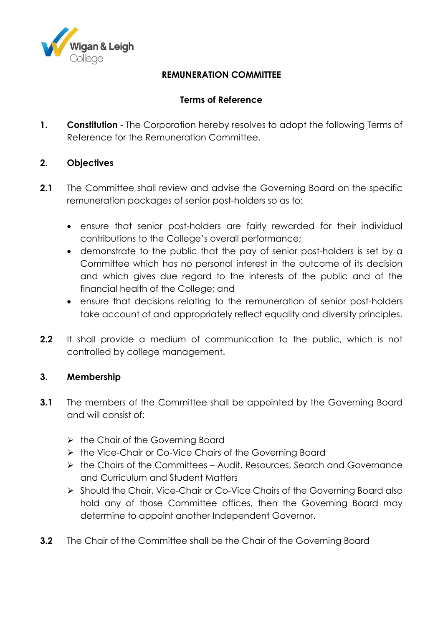

# **REMUNERATION COMMITTEE**

## **Terms of Reference**

**1. Constitution** - The Corporation hereby resolves to adopt the following Terms of Reference for the Remuneration Committee.

## **2. Objectives**

- **2.1** The Committee shall review and advise the Governing Board on the specific remuneration packages of senior post-holders so as to:
	- ensure that senior post-holders are fairly rewarded for their individual contributions to the College's overall performance;
	- demonstrate to the public that the pay of senior post-holders is set by a Committee which has no personal interest in the outcome of its decision and which gives due regard to the interests of the public and of the financial health of the College; and
	- ensure that decisions relating to the remuneration of senior post-holders take account of and appropriately reflect equality and diversity principles.
- **2.2** It shall provide a medium of communication to the public, which is not controlled by college management.

## **3. Membership**

- **3.1** The members of the Committee shall be appointed by the Governing Board and will consist of:
	- $\triangleright$  the Chair of the Governing Board
	- ▶ the Vice-Chair or Co-Vice Chairs of the Governing Board
	- $\triangleright$  the Chairs of the Committees Audit, Resources, Search and Governance and Curriculum and Student Matters
	- Should the Chair, Vice-Chair or Co-Vice Chairs of the Governing Board also hold any of those Committee offices, then the Governing Board may determine to appoint another Independent Governor.
- **3.2** The Chair of the Committee shall be the Chair of the Governing Board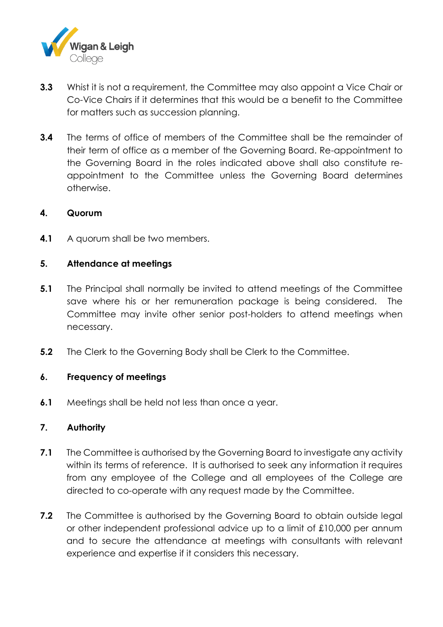

- **3.3** Whist it is not a requirement, the Committee may also appoint a Vice Chair or Co-Vice Chairs if it determines that this would be a benefit to the Committee for matters such as succession planning.
- **3.4** The terms of office of members of the Committee shall be the remainder of their term of office as a member of the Governing Board. Re-appointment to the Governing Board in the roles indicated above shall also constitute reappointment to the Committee unless the Governing Board determines otherwise.

#### **4. Quorum**

**4.1** A quorum shall be two members.

## **5. Attendance at meetings**

- **5.1** The Principal shall normally be invited to attend meetings of the Committee save where his or her remuneration package is being considered. The Committee may invite other senior post-holders to attend meetings when necessary.
- **5.2** The Clerk to the Governing Body shall be Clerk to the Committee.

## **6. Frequency of meetings**

**6.1** Meetings shall be held not less than once a year.

## **7. Authority**

- **7.1** The Committee is authorised by the Governing Board to investigate any activity within its terms of reference. It is authorised to seek any information it requires from any employee of the College and all employees of the College are directed to co-operate with any request made by the Committee.
- **7.2** The Committee is authorised by the Governing Board to obtain outside legal or other independent professional advice up to a limit of £10,000 per annum and to secure the attendance at meetings with consultants with relevant experience and expertise if it considers this necessary.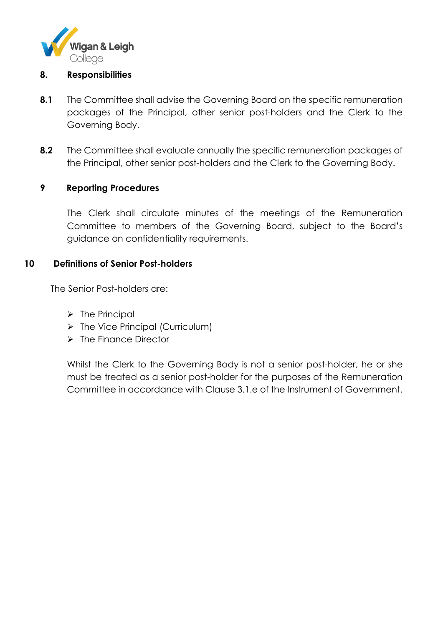

#### **8. Responsibilities**

- **8.1** The Committee shall advise the Governing Board on the specific remuneration packages of the Principal, other senior post-holders and the Clerk to the Governing Body.
- **8.2** The Committee shall evaluate annually the specific remuneration packages of the Principal, other senior post-holders and the Clerk to the Governing Body.

## **9 Reporting Procedures**

The Clerk shall circulate minutes of the meetings of the Remuneration Committee to members of the Governing Board, subject to the Board's guidance on confidentiality requirements.

#### **10 Definitions of Senior Post-holders**

The Senior Post-holders are:

- $\triangleright$  The Principal
- $\triangleright$  The Vice Principal (Curriculum)
- $\triangleright$  The Finance Director

Whilst the Clerk to the Governing Body is not a senior post-holder, he or she must be treated as a senior post-holder for the purposes of the Remuneration Committee in accordance with Clause 3.1.e of the Instrument of Government.